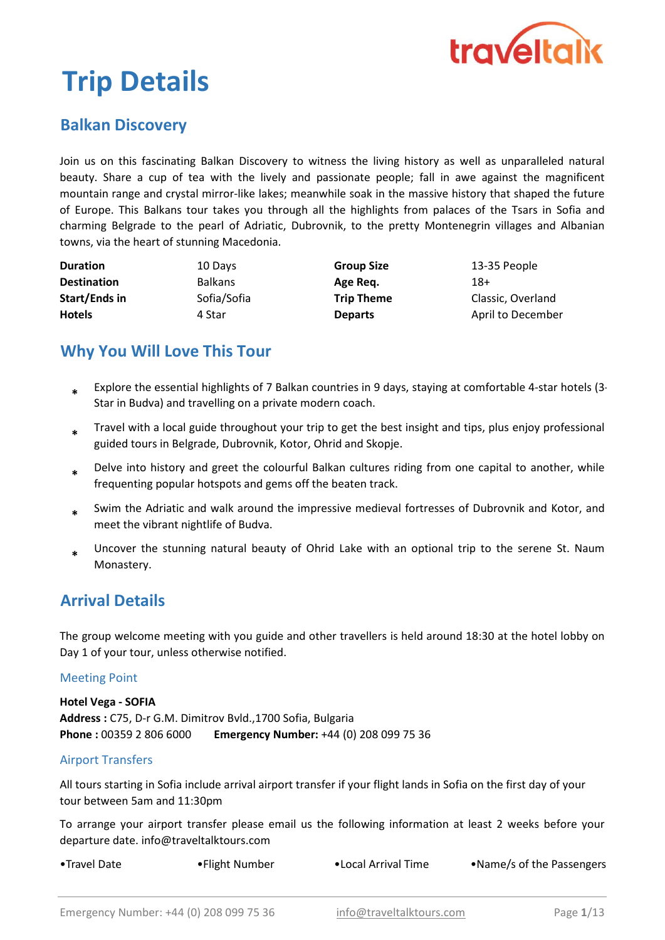

# Trip Details

## Balkan Discovery

Join us on this fascinating Balkan Discovery to witness the living history as well as unparalleled natural beauty. Share a cup of tea with the lively and passionate people; fall in awe against the magnificent mountain range and crystal mirror-like lakes; meanwhile soak in the massive history that shaped the future of Europe. This Balkans tour takes you through all the highlights from palaces of the Tsars in Sofia and charming Belgrade to the pearl of Adriatic, Dubrovnik, to the pretty Montenegrin villages and Albanian towns, via the heart of stunning Macedonia.

| <b>Duration</b>      | 10 Days        | <b>Group Size</b> | 13-35 People      |
|----------------------|----------------|-------------------|-------------------|
| <b>Destination</b>   | <b>Balkans</b> | Age Reg.          | 18+               |
| <b>Start/Ends in</b> | Sofia/Sofia    | <b>Trip Theme</b> | Classic, Overland |
| <b>Hotels</b>        | 4 Star         | <b>Departs</b>    | April to December |

## Why You Will Love This Tour

- Explore the essential highlights of 7 Balkan countries in 9 days, staying at comfortable 4-star hotels (3- Star in Budva) and travelling on a private modern coach. \*
- \* Travel with a local guide throughout your trip to get the best insight and tips, plus enjoy professional guided tours in Belgrade, Dubrovnik, Kotor, Ohrid and Skopje.
- \* Delve into history and greet the colourful Balkan cultures riding from one capital to another, while frequenting popular hotspots and gems off the beaten track.
- \* Swim the Adriatic and walk around the impressive medieval fortresses of Dubrovnik and Kotor, and meet the vibrant nightlife of Budva.
- \* Uncover the stunning natural beauty of Ohrid Lake with an optional trip to the serene St. Naum Monastery.

## Arrival Details

The group welcome meeting with you guide and other travellers is held around 18:30 at the hotel lobby on Day 1 of your tour, unless otherwise notified.

#### Meeting Point

Address : C75, D-r G.M. Dimitrov Bvld.,1700 Sofia, Bulgaria Phone : 00359 2 806 6000 Emergency Number: +44 (0) 208 099 75 36 Hotel Vega - SOFIA

#### Airport Transfers

All tours starting in Sofia include arrival airport transfer if your flight lands in Sofia on the first day of your tour between 5am and 11:30pm

To arrange your airport transfer please email us the following information at least 2 weeks before your departure date. info@traveltalktours.com

•Travel Date •Flight Number •Local Arrival Time •Name/s of the Passengers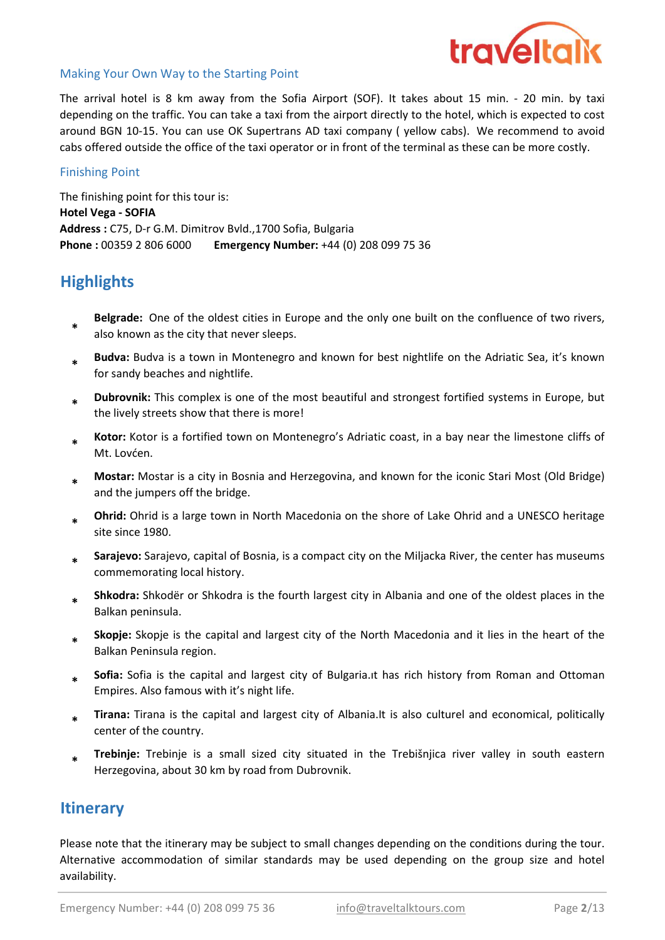

#### Making Your Own Way to the Starting Point

The arrival hotel is 8 km away from the Sofia Airport (SOF). It takes about 15 min. - 20 min. by taxi depending on the traffic. You can take a taxi from the airport directly to the hotel, which is expected to cost around BGN 10-15. You can use OK Supertrans AD taxi company ( yellow cabs). We recommend to avoid cabs offered outside the office of the taxi operator or in front of the terminal as these can be more costly.

#### Finishing Point

The finishing point for this tour is: Hotel Vega - SOFIA Address : C75, D-r G.M. Dimitrov Bvld.,1700 Sofia, Bulgaria Phone : 00359 2 806 6000 Emergency Number: +44 (0) 208 099 75 36

## **Highlights**

- \* Belgrade: One of the oldest cities in Europe and the only one built on the confluence of two rivers, also known as the city that never sleeps.
- \* Budva: Budva is a town in Montenegro and known for best nightlife on the Adriatic Sea, it's known for sandy beaches and nightlife.
- \* Dubrovnik: This complex is one of the most beautiful and strongest fortified systems in Europe, but the lively streets show that there is more!
- \* Kotor: Kotor is a fortified town on Montenegro's Adriatic coast, in a bay near the limestone cliffs of Mt. Lovćen.
- \* Mostar: Mostar is a city in Bosnia and Herzegovina, and known for the iconic Stari Most (Old Bridge) and the jumpers off the bridge.
- \* Ohrid: Ohrid is a large town in North Macedonia on the shore of Lake Ohrid and a UNESCO heritage site since 1980.
- \* Sarajevo: Sarajevo, capital of Bosnia, is a compact city on the Miljacka River, the center has museums commemorating local history.
- \* Shkodra: Shkodër or Shkodra is the fourth largest city in Albania and one of the oldest places in the Balkan peninsula.
- \* Skopje: Skopje is the capital and largest city of the North Macedonia and it lies in the heart of the Balkan Peninsula region.
- \* Sofia: Sofia is the capital and largest city of Bulgaria.it has rich history from Roman and Ottoman Empires. Also famous with it's night life.
- \* Tirana: Tirana is the capital and largest city of Albania.It is also culturel and economical, politically center of the country.
- \* Trebinje: Trebinje is a small sized city situated in the Trebišnjica river valley in south eastern Herzegovina, about 30 km by road from Dubrovnik.

## **Itinerary**

Please note that the itinerary may be subject to small changes depending on the conditions during the tour. Alternative accommodation of similar standards may be used depending on the group size and hotel availability.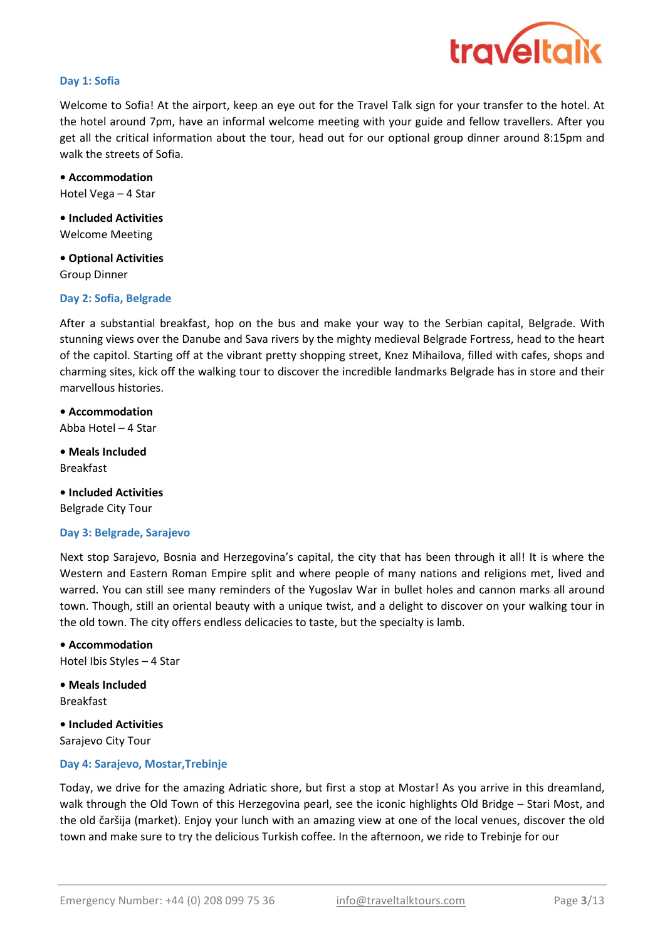

#### Day 1: Sofia

Welcome to Sofia! At the airport, keep an eye out for the Travel Talk sign for your transfer to the hotel. At the hotel around 7pm, have an informal welcome meeting with your guide and fellow travellers. After you get all the critical information about the tour, head out for our optional group dinner around 8:15pm and walk the streets of Sofia.

Hotel Vega – 4 Star • Accommodation

• Included Activities Welcome Meeting

Group Dinner • Optional Activities

#### Day 2: Sofia, Belgrade

After a substantial breakfast, hop on the bus and make your way to the Serbian capital, Belgrade. With stunning views over the Danube and Sava rivers by the mighty medieval Belgrade Fortress, head to the heart of the capitol. Starting off at the vibrant pretty shopping street, Knez Mihailova, filled with cafes, shops and charming sites, kick off the walking tour to discover the incredible landmarks Belgrade has in store and their marvellous histories.

• Accommodation Abba Hotel – 4 Star

• Meals Included Breakfast

Belgrade City Tour • Included Activities

#### Day 3: Belgrade, Sarajevo

Next stop Sarajevo, Bosnia and Herzegovina's capital, the city that has been through it all! It is where the Western and Eastern Roman Empire split and where people of many nations and religions met, lived and warred. You can still see many reminders of the Yugoslav War in bullet holes and cannon marks all around town. Though, still an oriental beauty with a unique twist, and a delight to discover on your walking tour in the old town. The city offers endless delicacies to taste, but the specialty is lamb.

• Accommodation Hotel Ibis Styles – 4 Star

• Meals Included Breakfast

• Included Activities

Sarajevo City Tour

#### Day 4: Sarajevo, Mostar,Trebinje

Today, we drive for the amazing Adriatic shore, but first a stop at Mostar! As you arrive in this dreamland, walk through the Old Town of this Herzegovina pearl, see the iconic highlights Old Bridge – Stari Most, and the old čaršija (market). Enjoy your lunch with an amazing view at one of the local venues, discover the old town and make sure to try the delicious Turkish coffee. In the afternoon, we ride to Trebinje for our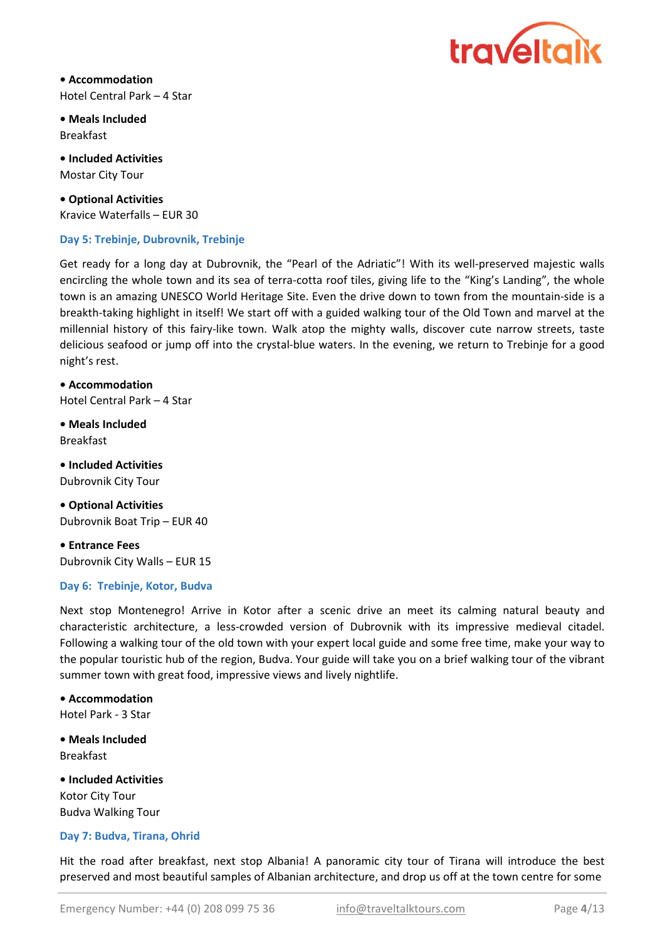

• Accommodation Hotel Central Park – 4 Star

• Meals Included Breakfast

• Included Activities Mostar City Tour

• Optional Activities Kravice Waterfalls – EUR 30

#### Day 5: Trebinje, Dubrovnik, Trebinje

Get ready for a long day at Dubrovnik, the "Pearl of the Adriatic"! With its well-preserved majestic walls encircling the whole town and its sea of terra-cotta roof tiles, giving life to the "King's Landing", the whole town is an amazing UNESCO World Heritage Site. Even the drive down to town from the mountain-side is a breakth-taking highlight in itself! We start off with a guided walking tour of the Old Town and marvel at the millennial history of this fairy-like town. Walk atop the mighty walls, discover cute narrow streets, taste delicious seafood or jump off into the crystal-blue waters. In the evening, we return to Trebinje for a good night's rest.

• Accommodation Hotel Central Park – 4 Star

• Meals Included Breakfast

• Included Activities Dubrovnik City Tour

• Optional Activities Dubrovnik Boat Trip – EUR 40

• Entrance Fees Dubrovnik City Walls – EUR 15

#### Day 6: Trebinje, Kotor, Budva

Next stop Montenegro! Arrive in Kotor after a scenic drive an meet its calming natural beauty and characteristic architecture, a less-crowded version of Dubrovnik with its impressive medieval citadel. Following a walking tour of the old town with your expert local guide and some free time, make your way to the popular touristic hub of the region, Budva. Your guide will take you on a brief walking tour of the vibrant summer town with great food, impressive views and lively nightlife.

• Accommodation Hotel Park - 3 Star

• Meals Included Breakfast

• Included Activities Budva Walking Tour Kotor City Tour

#### Day 7: Budva, Tirana, Ohrid

Hit the road after breakfast, next stop Albania! A panoramic city tour of Tirana will introduce the best preserved and most beautiful samples of Albanian architecture, and drop us off at the town centre for some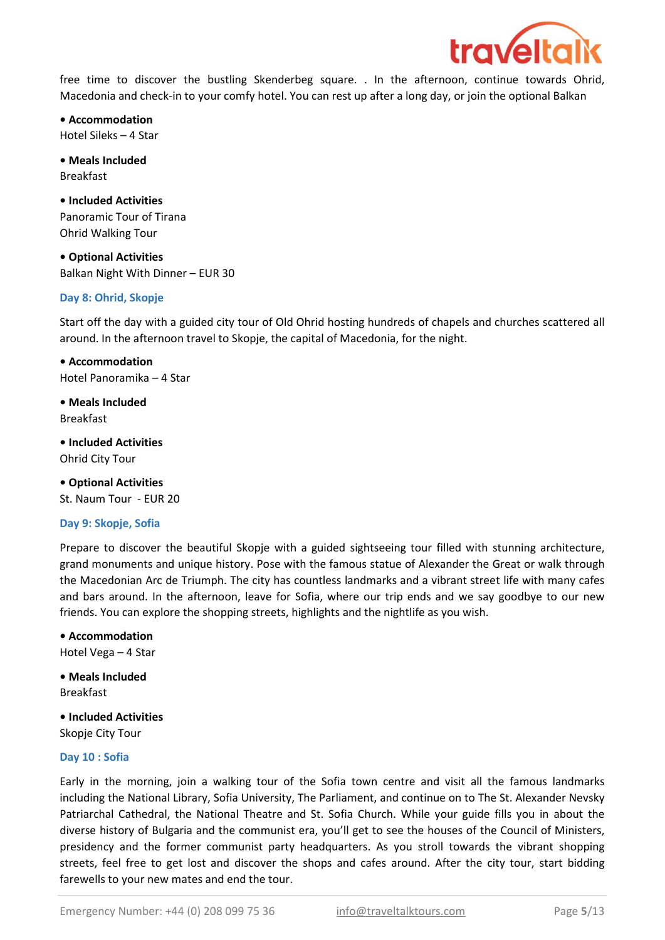

free time to discover the bustling Skenderbeg square. . In the afternoon, continue towards Ohrid, Macedonia and check-in to your comfy hotel. You can rest up after a long day, or join the optional Balkan

• Accommodation Hotel Sileks – 4 Star

• Meals Included Breakfast

• Included Activities Panoramic Tour of Tirana Ohrid Walking Tour

• Optional Activities Balkan Night With Dinner – EUR 30

#### Day 8: Ohrid, Skopje

Start off the day with a guided city tour of Old Ohrid hosting hundreds of chapels and churches scattered all around. In the afternoon travel to Skopje, the capital of Macedonia, for the night.

• Accommodation Hotel Panoramika – 4 Star

• Meals Included Breakfast

• Included Activities Ohrid City Tour

• Optional Activities St. Naum Tour - EUR 20

#### Day 9: Skopje, Sofia

Prepare to discover the beautiful Skopje with a guided sightseeing tour filled with stunning architecture, grand monuments and unique history. Pose with the famous statue of Alexander the Great or walk through the Macedonian Arc de Triumph. The city has countless landmarks and a vibrant street life with many cafes and bars around. In the afternoon, leave for Sofia, where our trip ends and we say goodbye to our new friends. You can explore the shopping streets, highlights and the nightlife as you wish.

• Accommodation Hotel Vega – 4 Star

Breakfast • Meals Included

Skopje City Tour • Included Activities

#### Day 10 : Sofia

Early in the morning, join a walking tour of the Sofia town centre and visit all the famous landmarks including the National Library, Sofia University, The Parliament, and continue on to The St. Alexander Nevsky Patriarchal Cathedral, the National Theatre and St. Sofia Church. While your guide fills you in about the diverse history of Bulgaria and the communist era, you'll get to see the houses of the Council of Ministers, presidency and the former communist party headquarters. As you stroll towards the vibrant shopping streets, feel free to get lost and discover the shops and cafes around. After the city tour, start bidding farewells to your new mates and end the tour.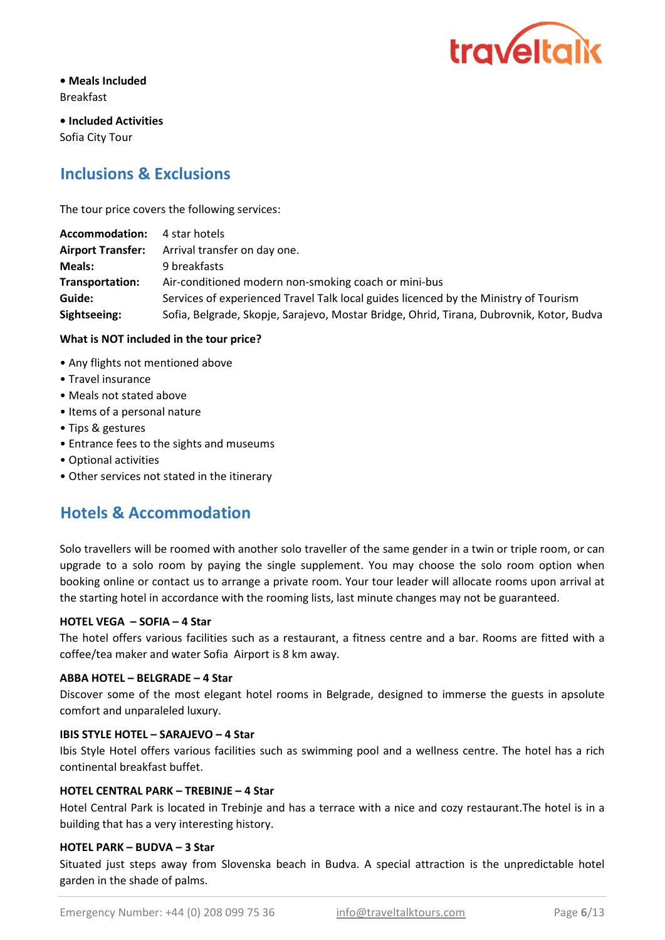

• Meals Included Breakfast

Sofia City Tour • Included Activities

## Inclusions & Exclusions

The tour price covers the following services:

| Accommodation:  | 4 star hotels                                                                            |
|-----------------|------------------------------------------------------------------------------------------|
|                 | Airport Transfer: Arrival transfer on day one.                                           |
| <b>Meals:</b>   | 9 breakfasts                                                                             |
| Transportation: | Air-conditioned modern non-smoking coach or mini-bus                                     |
| Guide:          | Services of experienced Travel Talk local guides licenced by the Ministry of Tourism     |
| Sightseeing:    | Sofia, Belgrade, Skopje, Sarajevo, Mostar Bridge, Ohrid, Tirana, Dubrovnik, Kotor, Budva |

#### What is NOT included in the tour price?

- Any flights not mentioned above
- Travel insurance
- Meals not stated above
- Items of a personal nature
- Tips & gestures
- Entrance fees to the sights and museums
- Optional activities
- Other services not stated in the itinerary

## Hotels & Accommodation

Solo travellers will be roomed with another solo traveller of the same gender in a twin or triple room, or can upgrade to a solo room by paying the single supplement. You may choose the solo room option when booking online or contact us to arrange a private room. Your tour leader will allocate rooms upon arrival at the starting hotel in accordance with the rooming lists, last minute changes may not be guaranteed.

#### HOTEL VEGA – SOFIA – 4 Star

The hotel offers various facilities such as a restaurant, a fitness centre and a bar. Rooms are fitted with a coffee/tea maker and water Sofia Airport is 8 km away.

#### ABBA HOTEL – BELGRADE – 4 Star

Discover some of the most elegant hotel rooms in Belgrade, designed to immerse the guests in apsolute comfort and unparaleled luxury.

#### IBIS STYLE HOTEL – SARAJEVO – 4 Star

Ibis Style Hotel offers various facilities such as swimming pool and a wellness centre. The hotel has a rich continental breakfast buffet.

#### HOTEL CENTRAL PARK – TREBINJE – 4 Star

Hotel Central Park is located in Trebinje and has a terrace with a nice and cozy restaurant.The hotel is in a building that has a very interesting history.

#### HOTEL PARK – BUDVA – 3 Star

Situated just steps away from Slovenska beach in Budva. A special attraction is the unpredictable hotel garden in the shade of palms.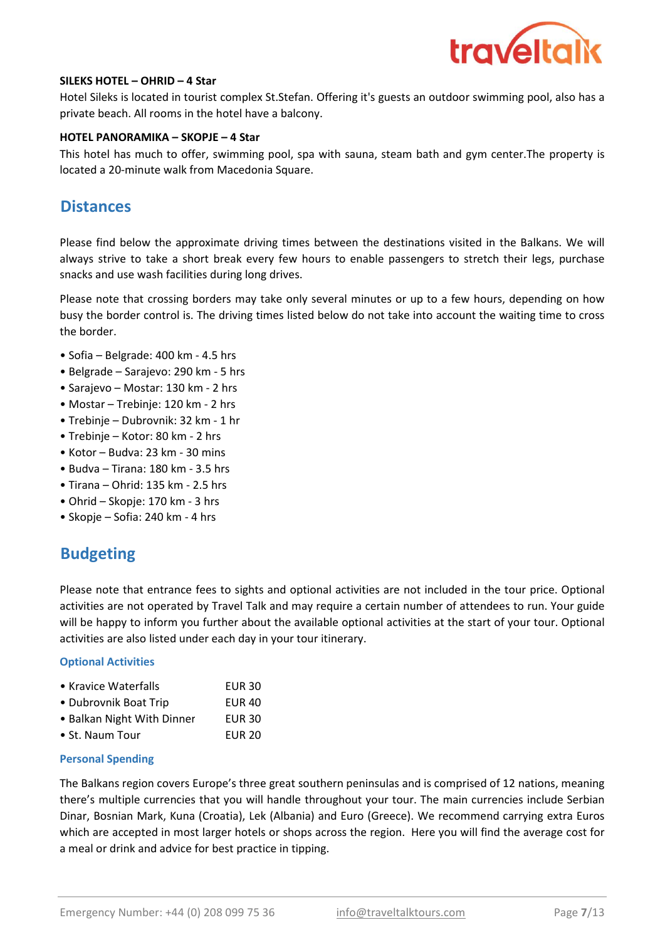

#### SILEKS HOTEL – OHRID – 4 Star

Hotel Sileks is located in tourist complex St.Stefan. Offering it's guests an outdoor swimming pool, also has a private beach. All rooms in the hotel have a balcony.

#### HOTEL PANORAMIKA – SKOPJE – 4 Star

This hotel has much to offer, swimming pool, spa with sauna, steam bath and gym center.The property is located a 20-minute walk from Macedonia Square.

## **Distances**

Please find below the approximate driving times between the destinations visited in the Balkans. We will always strive to take a short break every few hours to enable passengers to stretch their legs, purchase snacks and use wash facilities during long drives.

Please note that crossing borders may take only several minutes or up to a few hours, depending on how busy the border control is. The driving times listed below do not take into account the waiting time to cross the border.

- Sofia Belgrade: 400 km 4.5 hrs
- Belgrade Sarajevo: 290 km 5 hrs
- Sarajevo Mostar: 130 km 2 hrs
- Mostar Trebinje: 120 km 2 hrs
- Trebinje Dubrovnik: 32 km 1 hr
- Trebinje Kotor: 80 km 2 hrs
- Kotor Budva: 23 km 30 mins
- Budva Tirana: 180 km 3.5 hrs
- $\bullet$  Tirana Ohrid: 135 km 2.5 hrs
- Ohrid Skopje: 170 km 3 hrs
- Skopje Sofia: 240 km 4 hrs

## Budgeting

Please note that entrance fees to sights and optional activities are not included in the tour price. Optional activities are not operated by Travel Talk and may require a certain number of attendees to run. Your guide will be happy to inform you further about the available optional activities at the start of your tour. Optional activities are also listed under each day in your tour itinerary.

#### Optional Activities

|  | • Kravice Waterfalls | <b>EUR 30</b> |
|--|----------------------|---------------|
|  |                      |               |

| • Dubrovnik Boat Trip      | EUR 40 |
|----------------------------|--------|
| • Balkan Night With Dinner | EUR 30 |

EUR 20

## • St. Naum Tour

#### Personal Spending

The Balkans region covers Europe's three great southern peninsulas and is comprised of 12 nations, meaning there's multiple currencies that you will handle throughout your tour. The main currencies include Serbian Dinar, Bosnian Mark, Kuna (Croatia), Lek (Albania) and Euro (Greece). We recommend carrying extra Euros which are accepted in most larger hotels or shops across the region. Here you will find the average cost for a meal or drink and advice for best practice in tipping.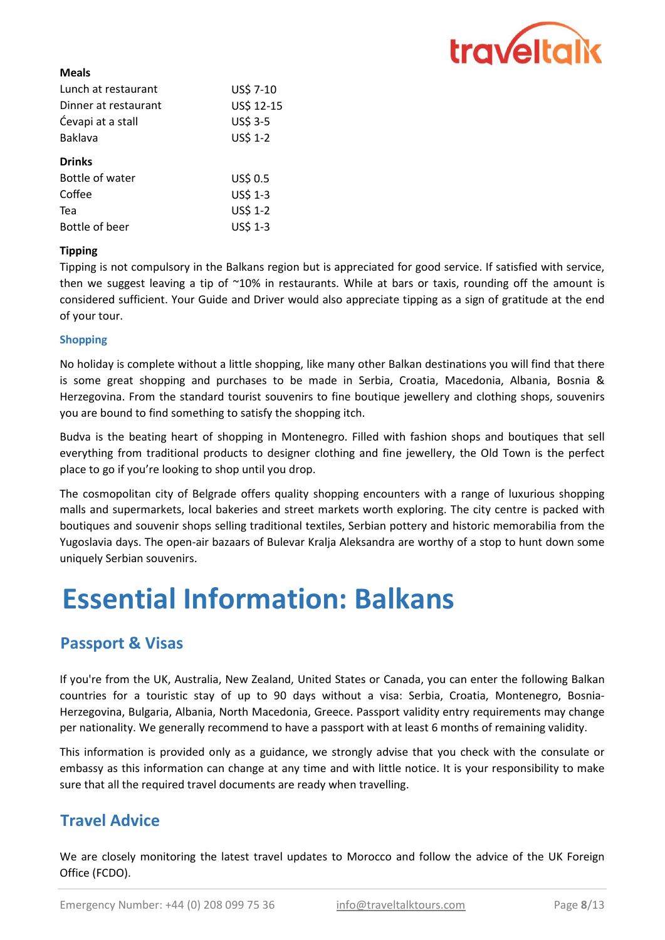

#### Meals

| Dinner at restaurant<br>Ćevapi at a stall<br>Baklava<br><b>Drinks</b> | US\$ 12-15<br>US\$ 3-5 |
|-----------------------------------------------------------------------|------------------------|
|                                                                       |                        |
|                                                                       |                        |
|                                                                       | US\$ 1-2               |
|                                                                       |                        |
| Bottle of water                                                       | US\$ 0.5               |
| Coffee                                                                | US\$ 1-3               |
| Tea                                                                   | US\$ 1-2               |
| US\$ 1-3<br>Bottle of beer                                            |                        |
|                                                                       |                        |

#### Tipping

Tipping is not compulsory in the Balkans region but is appreciated for good service. If satisfied with service, then we suggest leaving a tip of  $\sim$ 10% in restaurants. While at bars or taxis, rounding off the amount is considered sufficient. Your Guide and Driver would also appreciate tipping as a sign of gratitude at the end of your tour.

#### Shopping

No holiday is complete without a little shopping, like many other Balkan destinations you will find that there is some great shopping and purchases to be made in Serbia, Croatia, Macedonia, Albania, Bosnia & Herzegovina. From the standard tourist souvenirs to fine boutique jewellery and clothing shops, souvenirs you are bound to find something to satisfy the shopping itch.

Budva is the beating heart of shopping in Montenegro. Filled with fashion shops and boutiques that sell everything from traditional products to designer clothing and fine jewellery, the Old Town is the perfect place to go if you're looking to shop until you drop.

The cosmopolitan city of Belgrade offers quality shopping encounters with a range of luxurious shopping malls and supermarkets, local bakeries and street markets worth exploring. The city centre is packed with boutiques and souvenir shops selling traditional textiles, Serbian pottery and historic memorabilia from the Yugoslavia days. The open-air bazaars of Bulevar Kralja Aleksandra are worthy of a stop to hunt down some uniquely Serbian souvenirs.

## Essential Information: Balkans

## Passport & Visas

If you're from the UK, Australia, New Zealand, United States or Canada, you can enter the following Balkan countries for a touristic stay of up to 90 days without a visa: Serbia, Croatia, Montenegro, Bosnia-Herzegovina, Bulgaria, Albania, North Macedonia, Greece. Passport validity entry requirements may change per nationality. We generally recommend to have a passport with at least 6 months of remaining validity.

This information is provided only as a guidance, we strongly advise that you check with the consulate or embassy as this information can change at any time and with little notice. It is your responsibility to make sure that all the required travel documents are ready when travelling.

## Travel Advice

We are closely monitoring the latest travel updates to Morocco and follow the advice of the UK Foreign Office (FCDO).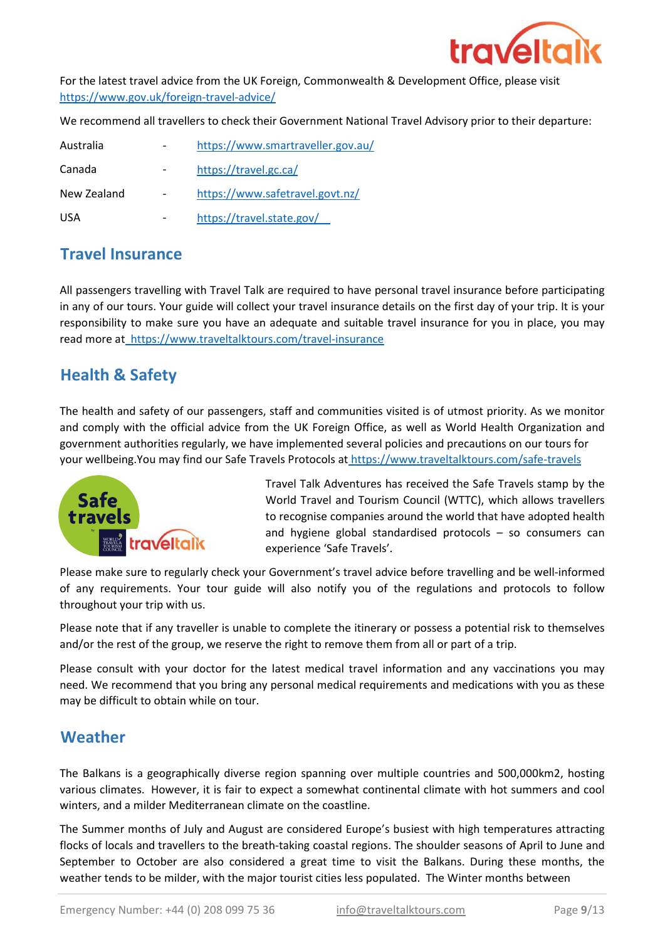

https://www.gov.uk/foreign-travel-advice/ For the latest travel advice from the UK Foreign, Commonwealth & Development Office, please visit

We recommend all travellers to check their Government National Travel Advisory prior to their departure:

| Australia   | https://www.smartraveller.gov.au/ |
|-------------|-----------------------------------|
| Canada      | https://travel.gc.ca/             |
| New Zealand | https://www.safetravel.govt.nz/   |
| USA.        | https://travel.state.gov/         |

## Travel Insurance

All passengers travelling with Travel Talk are required to have personal travel insurance before participating in any of our tours. Your guide will collect your travel insurance details on the first day of your trip. It is your responsibility to make sure you have an adequate and suitable travel insurance for you in place, you may read more at https://www.traveltalktours.com/travel-insurance

## Health & Safety

The health and safety of our passengers, staff and communities visited is of utmost priority. As we monitor and comply with the official advice from the UK Foreign Office, as well as World Health Organization and government authorities regularly, we have implemented several policies and precautions on our tours for your wellbeing.You may find our Safe Travels Protocols at https://www.traveltalktours.com/safe-travels



Travel Talk Adventures has received the Safe Travels stamp by the World Travel and Tourism Council (WTTC), which allows travellers to recognise companies around the world that have adopted health and hygiene global standardised protocols – so consumers can experience 'Safe Travels'.

Please make sure to regularly check your Government's travel advice before travelling and be well-informed of any requirements. Your tour guide will also notify you of the regulations and protocols to follow throughout your trip with us.

Please note that if any traveller is unable to complete the itinerary or possess a potential risk to themselves and/or the rest of the group, we reserve the right to remove them from all or part of a trip.

Please consult with your doctor for the latest medical travel information and any vaccinations you may need. We recommend that you bring any personal medical requirements and medications with you as these may be difficult to obtain while on tour.

## Weather

The Balkans is a geographically diverse region spanning over multiple countries and 500,000km2, hosting various climates. However, it is fair to expect a somewhat continental climate with hot summers and cool winters, and a milder Mediterranean climate on the coastline.

The Summer months of July and August are considered Europe's busiest with high temperatures attracting flocks of locals and travellers to the breath-taking coastal regions. The shoulder seasons of April to June and September to October are also considered a great time to visit the Balkans. During these months, the weather tends to be milder, with the major tourist cities less populated. The Winter months between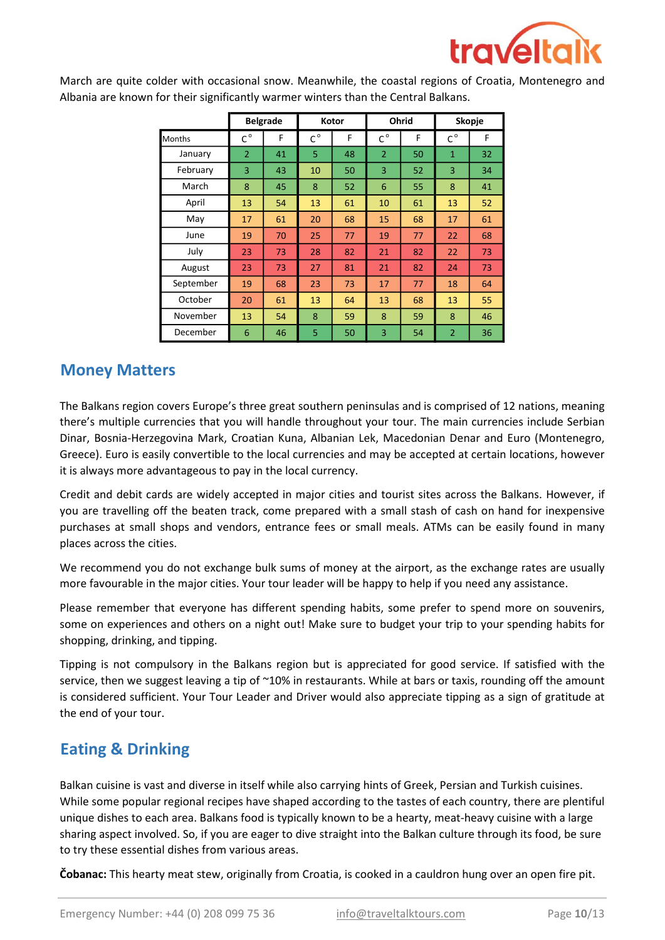

| <b>Belgrade</b><br>Kotor |                             | Ohrid |             | Skopje |                |    |                |    |
|--------------------------|-----------------------------|-------|-------------|--------|----------------|----|----------------|----|
| <b>Months</b>            | $\mathsf{C}^{\,\mathsf{o}}$ | F     | $C^{\circ}$ | F      | $C^{\circ}$    | F  | $C^{\circ}$    | F  |
| January                  | $\overline{2}$              | 41    | 5           | 48     | $\overline{2}$ | 50 | $\mathbf{1}$   | 32 |
| February                 | 3                           | 43    | 10          | 50     | 3              | 52 | 3              | 34 |
| March                    | 8                           | 45    | 8           | 52     | 6              | 55 | 8              | 41 |
| April                    | 13                          | 54    | 13          | 61     | 10             | 61 | 13             | 52 |
| May                      | 17                          | 61    | 20          | 68     | 15             | 68 | 17             | 61 |
| June                     | 19                          | 70    | 25          | 77     | 19             | 77 | 22             | 68 |
| July                     | 23                          | 73    | 28          | 82     | 21             | 82 | 22             | 73 |
| August                   | 23                          | 73    | 27          | 81     | 21             | 82 | 24             | 73 |
| September                | 19                          | 68    | 23          | 73     | 17             | 77 | 18             | 64 |
| October                  | 20                          | 61    | 13          | 64     | 13             | 68 | 13             | 55 |
| November                 | 13                          | 54    | 8           | 59     | 8              | 59 | 8              | 46 |
| December                 | 6                           | 46    | 5           | 50     | 3              | 54 | $\overline{2}$ | 36 |

March are quite colder with occasional snow. Meanwhile, the coastal regions of Croatia, Montenegro and Albania are known for their significantly warmer winters than the Central Balkans.

## Money Matters

The Balkans region covers Europe's three great southern peninsulas and is comprised of 12 nations, meaning there's multiple currencies that you will handle throughout your tour. The main currencies include Serbian Dinar, Bosnia-Herzegovina Mark, Croatian Kuna, Albanian Lek, Macedonian Denar and Euro (Montenegro, Greece). Euro is easily convertible to the local currencies and may be accepted at certain locations, however it is always more advantageous to pay in the local currency.

Credit and debit cards are widely accepted in major cities and tourist sites across the Balkans. However, if you are travelling off the beaten track, come prepared with a small stash of cash on hand for inexpensive purchases at small shops and vendors, entrance fees or small meals. ATMs can be easily found in many places across the cities.

We recommend you do not exchange bulk sums of money at the airport, as the exchange rates are usually more favourable in the major cities. Your tour leader will be happy to help if you need any assistance.

Please remember that everyone has different spending habits, some prefer to spend more on souvenirs, some on experiences and others on a night out! Make sure to budget your trip to your spending habits for shopping, drinking, and tipping.

Tipping is not compulsory in the Balkans region but is appreciated for good service. If satisfied with the service, then we suggest leaving a tip of ~10% in restaurants. While at bars or taxis, rounding off the amount is considered sufficient. Your Tour Leader and Driver would also appreciate tipping as a sign of gratitude at the end of your tour.

## Eating & Drinking

Balkan cuisine is vast and diverse in itself while also carrying hints of Greek, Persian and Turkish cuisines. While some popular regional recipes have shaped according to the tastes of each country, there are plentiful unique dishes to each area. Balkans food is typically known to be a hearty, meat-heavy cuisine with a large sharing aspect involved. So, if you are eager to dive straight into the Balkan culture through its food, be sure to try these essential dishes from various areas.

Čobanac: This hearty meat stew, originally from Croatia, is cooked in a cauldron hung over an open fire pit.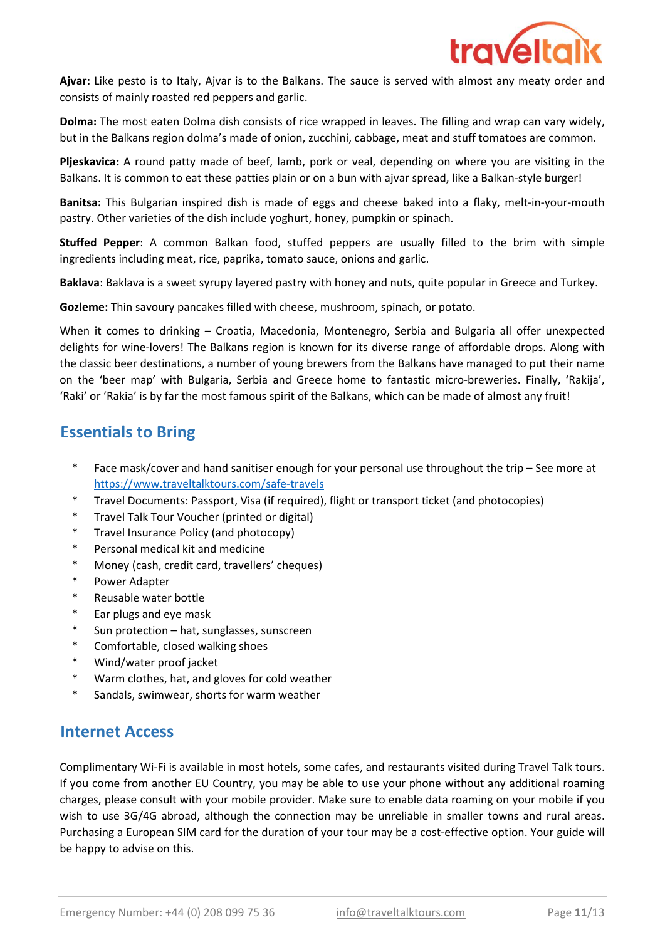

Ajvar: Like pesto is to Italy, Ajvar is to the Balkans. The sauce is served with almost any meaty order and consists of mainly roasted red peppers and garlic.

Dolma: The most eaten Dolma dish consists of rice wrapped in leaves. The filling and wrap can vary widely, but in the Balkans region dolma's made of onion, zucchini, cabbage, meat and stuff tomatoes are common.

Pljeskavica: A round patty made of beef, lamb, pork or veal, depending on where you are visiting in the Balkans. It is common to eat these patties plain or on a bun with ajvar spread, like a Balkan-style burger!

Banitsa: This Bulgarian inspired dish is made of eggs and cheese baked into a flaky, melt-in-your-mouth pastry. Other varieties of the dish include yoghurt, honey, pumpkin or spinach.

Stuffed Pepper: A common Balkan food, stuffed peppers are usually filled to the brim with simple ingredients including meat, rice, paprika, tomato sauce, onions and garlic.

Baklava: Baklava is a sweet syrupy layered pastry with honey and nuts, quite popular in Greece and Turkey.

Gozleme: Thin savoury pancakes filled with cheese, mushroom, spinach, or potato.

When it comes to drinking – Croatia, Macedonia, Montenegro, Serbia and Bulgaria all offer unexpected delights for wine-lovers! The Balkans region is known for its diverse range of affordable drops. Along with the classic beer destinations, a number of young brewers from the Balkans have managed to put their name on the 'beer map' with Bulgaria, Serbia and Greece home to fantastic micro-breweries. Finally, 'Rakija', 'Raki' or 'Rakia' is by far the most famous spirit of the Balkans, which can be made of almost any fruit!

## Essentials to Bring

- \* Face mask/cover and hand sanitiser enough for your personal use throughout the trip – See more at https://www.traveltalktours.com/safe-travels
- \* Travel Documents: Passport, Visa (if required), flight or transport ticket (and photocopies)
- \* Travel Talk Tour Voucher (printed or digital)
- \* Travel Insurance Policy (and photocopy)
- \* Personal medical kit and medicine
- \* Money (cash, credit card, travellers' cheques)
- \* Power Adapter
- \* Reusable water bottle
- \* Ear plugs and eye mask
- \* Sun protection – hat, sunglasses, sunscreen
- \* Comfortable, closed walking shoes
- \* Wind/water proof jacket
- \* Warm clothes, hat, and gloves for cold weather
- \* Sandals, swimwear, shorts for warm weather

## Internet Access

Complimentary Wi-Fi is available in most hotels, some cafes, and restaurants visited during Travel Talk tours. If you come from another EU Country, you may be able to use your phone without any additional roaming charges, please consult with your mobile provider. Make sure to enable data roaming on your mobile if you wish to use 3G/4G abroad, although the connection may be unreliable in smaller towns and rural areas. Purchasing a European SIM card for the duration of your tour may be a cost-effective option. Your guide will be happy to advise on this.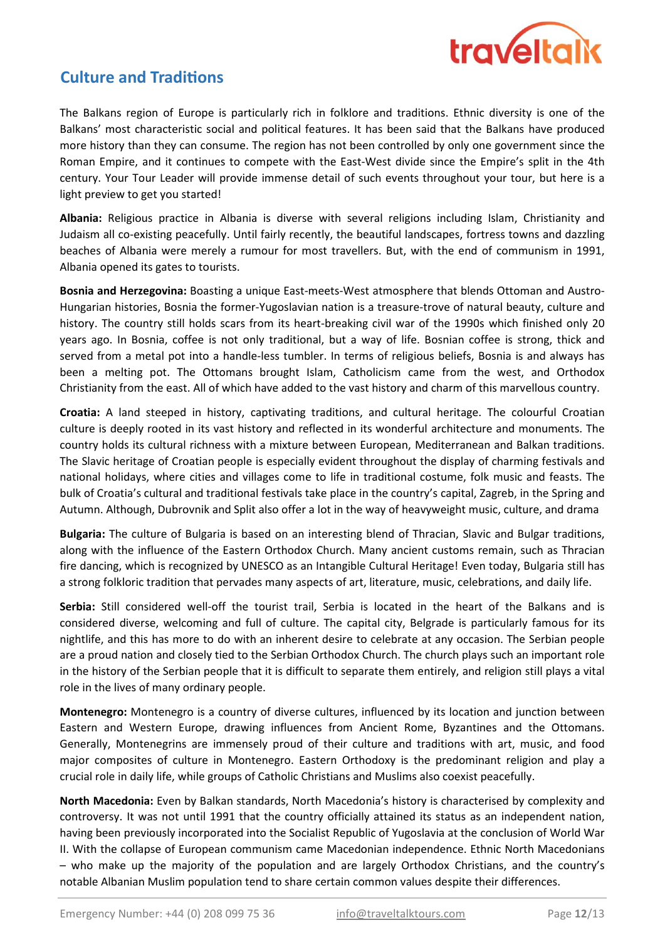

## **Culture and Traditions**

The Balkans region of Europe is particularly rich in folklore and traditions. Ethnic diversity is one of the Balkans' most characteristic social and political features. It has been said that the Balkans have produced more history than they can consume. The region has not been controlled by only one government since the Roman Empire, and it continues to compete with the East-West divide since the Empire's split in the 4th century. Your Tour Leader will provide immense detail of such events throughout your tour, but here is a light preview to get you started!

Albania: Religious practice in Albania is diverse with several religions including Islam, Christianity and Judaism all co-existing peacefully. Until fairly recently, the beautiful landscapes, fortress towns and dazzling beaches of Albania were merely a rumour for most travellers. But, with the end of communism in 1991, Albania opened its gates to tourists.

Bosnia and Herzegovina: Boasting a unique East-meets-West atmosphere that blends Ottoman and Austro-Hungarian histories, Bosnia the former-Yugoslavian nation is a treasure-trove of natural beauty, culture and history. The country still holds scars from its heart-breaking civil war of the 1990s which finished only 20 years ago. In Bosnia, coffee is not only traditional, but a way of life. Bosnian coffee is strong, thick and served from a metal pot into a handle-less tumbler. In terms of religious beliefs, Bosnia is and always has been a melting pot. The Ottomans brought Islam, Catholicism came from the west, and Orthodox Christianity from the east. All of which have added to the vast history and charm of this marvellous country.

Croatia: A land steeped in history, captivating traditions, and cultural heritage. The colourful Croatian culture is deeply rooted in its vast history and reflected in its wonderful architecture and monuments. The country holds its cultural richness with a mixture between European, Mediterranean and Balkan traditions. The Slavic heritage of Croatian people is especially evident throughout the display of charming festivals and national holidays, where cities and villages come to life in traditional costume, folk music and feasts. The bulk of Croatia's cultural and traditional festivals take place in the country's capital, Zagreb, in the Spring and Autumn. Although, Dubrovnik and Split also offer a lot in the way of heavyweight music, culture, and drama

Bulgaria: The culture of Bulgaria is based on an interesting blend of Thracian, Slavic and Bulgar traditions, along with the influence of the Eastern Orthodox Church. Many ancient customs remain, such as Thracian fire dancing, which is recognized by UNESCO as an Intangible Cultural Heritage! Even today, Bulgaria still has a strong folkloric tradition that pervades many aspects of art, literature, music, celebrations, and daily life.

Serbia: Still considered well-off the tourist trail, Serbia is located in the heart of the Balkans and is considered diverse, welcoming and full of culture. The capital city, Belgrade is particularly famous for its nightlife, and this has more to do with an inherent desire to celebrate at any occasion. The Serbian people are a proud nation and closely tied to the Serbian Orthodox Church. The church plays such an important role in the history of the Serbian people that it is difficult to separate them entirely, and religion still plays a vital role in the lives of many ordinary people.

Montenegro: Montenegro is a country of diverse cultures, influenced by its location and junction between Eastern and Western Europe, drawing influences from Ancient Rome, Byzantines and the Ottomans. Generally, Montenegrins are immensely proud of their culture and traditions with art, music, and food major composites of culture in Montenegro. Eastern Orthodoxy is the predominant religion and play a crucial role in daily life, while groups of Catholic Christians and Muslims also coexist peacefully.

North Macedonia: Even by Balkan standards, North Macedonia's history is characterised by complexity and controversy. It was not until 1991 that the country officially attained its status as an independent nation, having been previously incorporated into the Socialist Republic of Yugoslavia at the conclusion of World War II. With the collapse of European communism came Macedonian independence. Ethnic North Macedonians – who make up the majority of the population and are largely Orthodox Christians, and the country's notable Albanian Muslim population tend to share certain common values despite their differences.